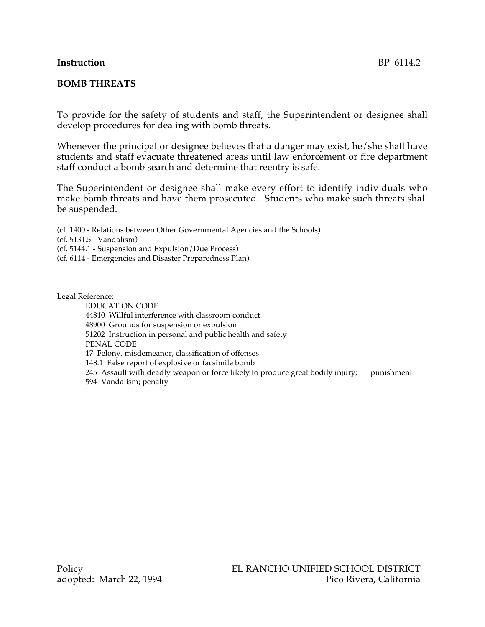## **Instruction** BP 6114.2

#### **BOMB THREATS**

To provide for the safety of students and staff, the Superintendent or designee shall develop procedures for dealing with bomb threats.

Whenever the principal or designee believes that a danger may exist, he/she shall have students and staff evacuate threatened areas until law enforcement or fire department staff conduct a bomb search and determine that reentry is safe.

The Superintendent or designee shall make every effort to identify individuals who make bomb threats and have them prosecuted. Students who make such threats shall be suspended.

(cf. 1400 - Relations between Other Governmental Agencies and the Schools) (cf. 5131.5 - Vandalism) (cf. 5144.1 - Suspension and Expulsion/Due Process) (cf. 6114 - Emergencies and Disaster Preparedness Plan)

Legal Reference:

EDUCATION CODE 44810 Willful interference with classroom conduct 48900 Grounds for suspension or expulsion 51202 Instruction in personal and public health and safety PENAL CODE 17 Felony, misdemeanor, classification of offenses 148.1 False report of explosive or facsimile bomb 245 Assault with deadly weapon or force likely to produce great bodily injury; punishment 594 Vandalism; penalty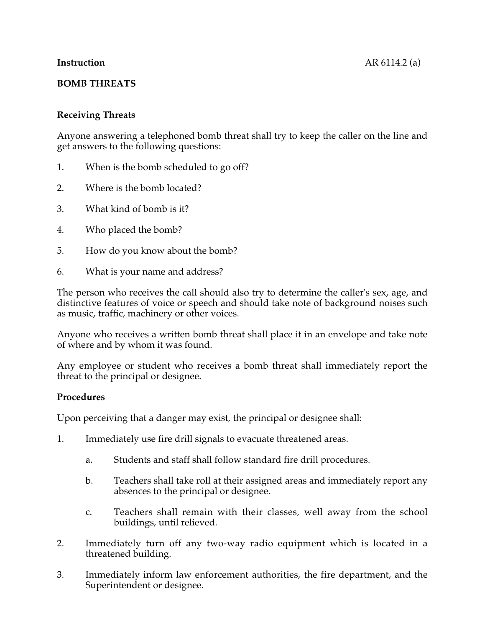## **BOMB THREATS**

## **Receiving Threats**

Anyone answering a telephoned bomb threat shall try to keep the caller on the line and get answers to the following questions:

- 1. When is the bomb scheduled to go off?
- 2. Where is the bomb located?
- 3. What kind of bomb is it?
- 4. Who placed the bomb?
- 5. How do you know about the bomb?
- 6. What is your name and address?

The person who receives the call should also try to determine the caller's sex, age, and distinctive features of voice or speech and should take note of background noises such as music, traffic, machinery or other voices.

Anyone who receives a written bomb threat shall place it in an envelope and take note of where and by whom it was found.

Any employee or student who receives a bomb threat shall immediately report the threat to the principal or designee.

#### **Procedures**

Upon perceiving that a danger may exist, the principal or designee shall:

- 1. Immediately use fire drill signals to evacuate threatened areas.
	- a. Students and staff shall follow standard fire drill procedures.
	- b. Teachers shall take roll at their assigned areas and immediately report any absences to the principal or designee.
	- c. Teachers shall remain with their classes, well away from the school buildings, until relieved.
- 2. Immediately turn off any two-way radio equipment which is located in a threatened building.
- 3. Immediately inform law enforcement authorities, the fire department, and the Superintendent or designee.